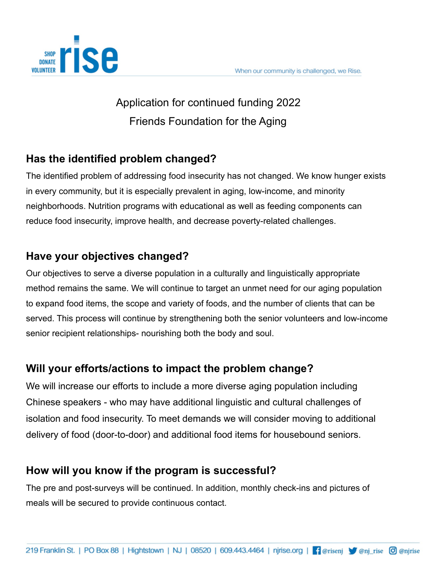

# Application for continued funding 2022 Friends Foundation for the Aging

### **Has the identified problem changed?**

The identified problem of addressing food insecurity has not changed. We know hunger exists in every community, but it is especially prevalent in aging, low-income, and minority neighborhoods. Nutrition programs with educational as well as feeding components can reduce food insecurity, improve health, and decrease poverty-related challenges.

### **Have your objectives changed?**

Our objectives to serve a diverse population in a culturally and linguistically appropriate method remains the same. We will continue to target an unmet need for our aging population to expand food items, the scope and variety of foods, and the number of clients that can be served. This process will continue by strengthening both the senior volunteers and low-income senior recipient relationships- nourishing both the body and soul.

### **Will your efforts/actions to impact the problem change?**

We will increase our efforts to include a more diverse aging population including Chinese speakers - who may have additional linguistic and cultural challenges of isolation and food insecurity. To meet demands we will consider moving to additional delivery of food (door-to-door) and additional food items for housebound seniors.

### **How will you know if the program is successful?**

The pre and post-surveys will be continued. In addition, monthly check-ins and pictures of meals will be secured to provide continuous contact.